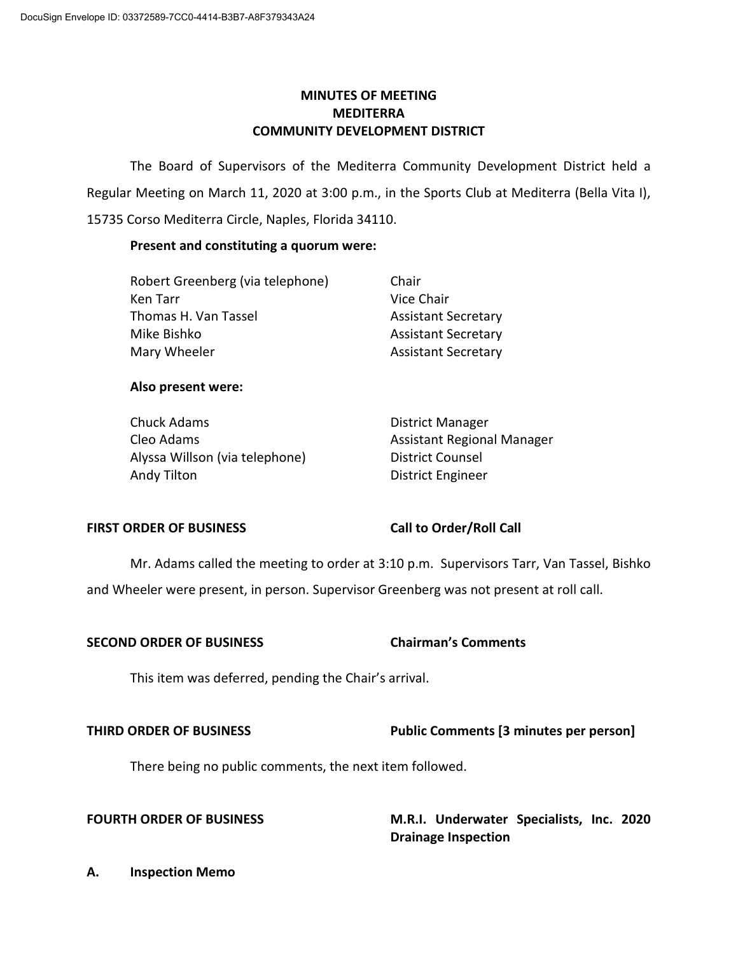# **MINUTES OF MEETING MEDITERRA COMMUNITY DEVELOPMENT DISTRICT**

 Regular Meeting on March 11, 2020 at 3:00 p.m., in the Sports Club at Mediterra (Bella Vita I), The Board of Supervisors of the Mediterra Community Development District held a 15735 Corso Mediterra Circle, Naples, Florida 34110.

## **Present and constituting a quorum were:**

| Robert Greenberg (via telephone) | Chair                      |
|----------------------------------|----------------------------|
| Ken Tarr                         | Vice Chair                 |
| Thomas H. Van Tassel             | <b>Assistant Secretary</b> |
| Mike Bishko                      | <b>Assistant Secretary</b> |
| Mary Wheeler                     | <b>Assistant Secretary</b> |

### **Also present were:**

| Chuck Adams                    | <b>District Manager</b>    |
|--------------------------------|----------------------------|
| Cleo Adams                     | Assistant Regional Manager |
| Alyssa Willson (via telephone) | District Counsel           |
| Andy Tilton                    | District Engineer          |

### FIRST ORDER OF BUSINESS Call to Order/Roll Call

 Mr. Adams called the meeting to order at 3:10 p.m. Supervisors Tarr, Van Tassel, Bishko and Wheeler were present, in person. Supervisor Greenberg was not present at roll call.

## **SECOND ORDER OF BUSINESS Chairman's Comments**

This item was deferred, pending the Chair's arrival.

## **THIRD ORDER OF BUSINESS Public Comments [3 minutes per person]**

There being no public comments, the next item followed.

**Drainage Inspection** FOURTH ORDER OF BUSINESS M.R.I. Underwater Specialists, Inc. 2020

**Drainage Inspection A. Inspection Memo**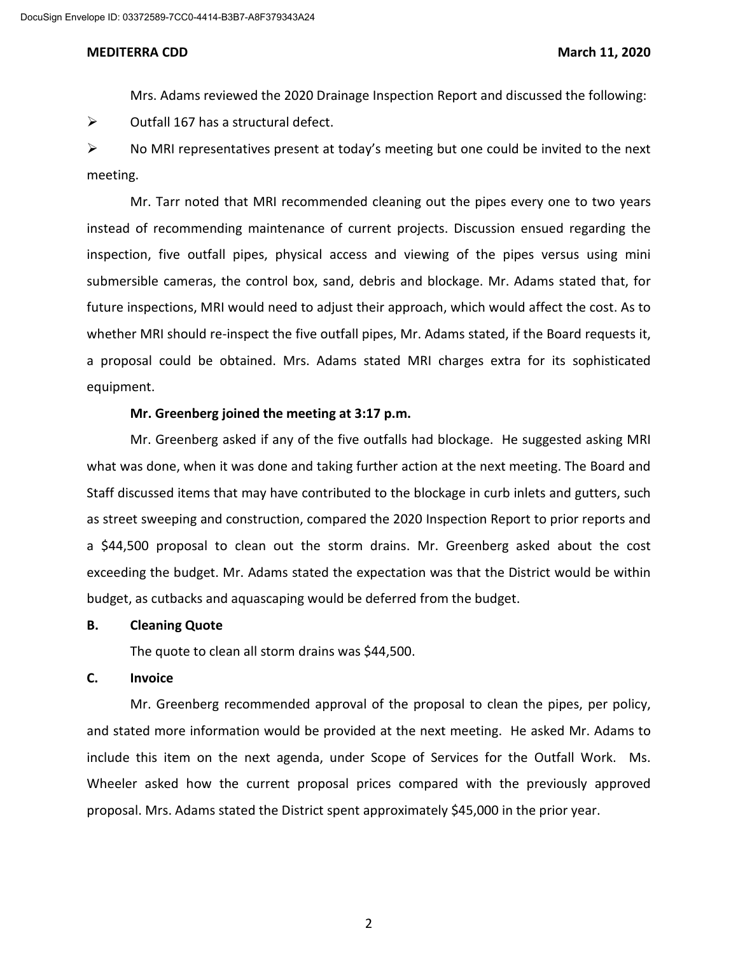Mrs. Adams reviewed the 2020 Drainage Inspection Report and discussed the following:

 $\triangleright$  Outfall 167 has a structural defect.

meeting.  $\triangleright$  No MRI representatives present at today's meeting but one could be invited to the next

 meeting. Mr. Tarr noted that MRI recommended cleaning out the pipes every one to two years inspection, five outfall pipes, physical access and viewing of the pipes versus using mini submersible cameras, the control box, sand, debris and blockage. Mr. Adams stated that, for whether MRI should re-inspect the five outfall pipes, Mr. Adams stated, if the Board requests it, a proposal could be obtained. Mrs. Adams stated MRI charges extra for its sophisticated instead of recommending maintenance of current projects. Discussion ensued regarding the future inspections, MRI would need to adjust their approach, which would affect the cost. As to equipment.

### **Mr. Greenberg joined the meeting at 3:17 p.m.**

 Mr. Greenberg asked if any of the five outfalls had blockage. He suggested asking MRI what was done, when it was done and taking further action at the next meeting. The Board and exceeding the budget. Mr. Adams stated the expectation was that the District would be within budget, as cutbacks and aquascaping would be deferred from the budget. Staff discussed items that may have contributed to the blockage in curb inlets and gutters, such as street sweeping and construction, compared the 2020 Inspection Report to prior reports and a \$44,500 proposal to clean out the storm drains. Mr. Greenberg asked about the cost

#### **B. Cleaning Quote**

The quote to clean all storm drains was \$44,500.

#### **C. Invoice**

 Mr. Greenberg recommended approval of the proposal to clean the pipes, per policy, and stated more information would be provided at the next meeting. He asked Mr. Adams to include this item on the next agenda, under Scope of Services for the Outfall Work. Ms. Wheeler asked how the current proposal prices compared with the previously approved proposal. Mrs. Adams stated the District spent approximately \$45,000 in the prior year.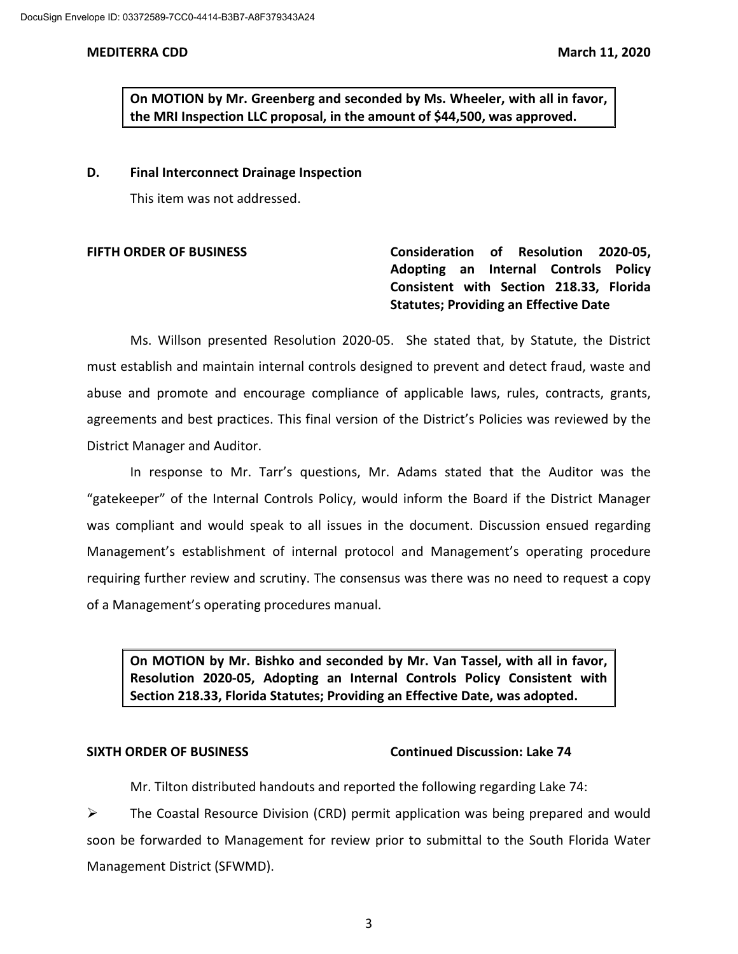**the MRI Inspection LLC proposal, in the amount of \$44,500, was approved. On MOTION by Mr. Greenberg and seconded by Ms. Wheeler, with all in favor,** 

**D. Final Interconnect Drainage Inspection** 

This item was not addressed.

**FIFTH ORDER OF BUSINESS Consideration of Resolution 2020-05, Adopting an Internal Controls Policy Consistent with Section 218.33, Florida Statutes; Providing an Effective Date** 

 must establish and maintain internal controls designed to prevent and detect fraud, waste and agreements and best practices. This final version of the District's Policies was reviewed by the Ms. Willson presented Resolution 2020-05. She stated that, by Statute, the District abuse and promote and encourage compliance of applicable laws, rules, contracts, grants, District Manager and Auditor.

 In response to Mr. Tarr's questions, Mr. Adams stated that the Auditor was the requiring further review and scrutiny. The consensus was there was no need to request a copy "gatekeeper" of the Internal Controls Policy, would inform the Board if the District Manager was compliant and would speak to all issues in the document. Discussion ensued regarding Management's establishment of internal protocol and Management's operating procedure of a Management's operating procedures manual.

**On MOTION by Mr. Bishko and seconded by Mr. Van Tassel, with all in favor, Resolution 2020-05, Adopting an Internal Controls Policy Consistent with Section 218.33, Florida Statutes; Providing an Effective Date, was adopted.** 

### **SIXTH ORDER OF BUSINESS Continued Discussion: Lake 74**

Mr. Tilton distributed handouts and reported the following regarding Lake 74:

 soon be forwarded to Management for review prior to submittal to the South Florida Water  $\triangleright$  The Coastal Resource Division (CRD) permit application was being prepared and would Management District (SFWMD).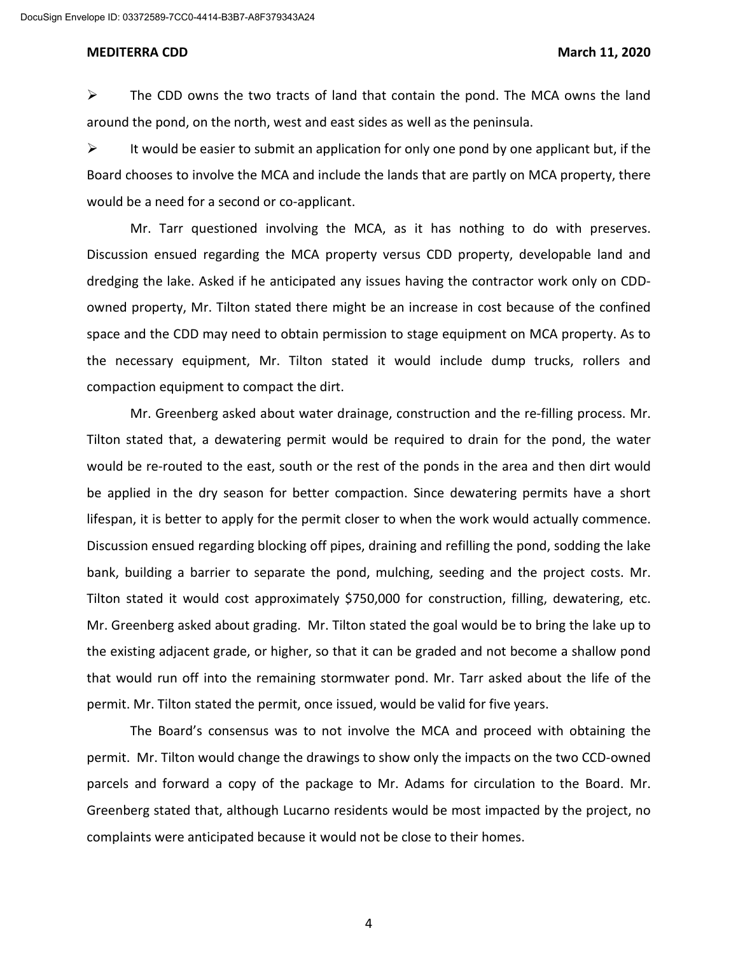DocuSign Envelope ID: 03372589-7CC0-4414-B3B7-A8F379343A24

#### **MEDITERRA CDD** March 11, 2020

 $\triangleright$  The CDD owns the two tracts of land that contain the pond. The MCA owns the land around the pond, on the north, west and east sides as well as the peninsula.

 $\triangleright$  It would be easier to submit an application for only one pond by one applicant but, if the Board chooses to involve the MCA and include the lands that are partly on MCA property, there would be a need for a second or co-applicant.

 Mr. Tarr questioned involving the MCA, as it has nothing to do with preserves. Discussion ensued regarding the MCA property versus CDD property, developable land and space and the CDD may need to obtain permission to stage equipment on MCA property. As to dredging the lake. Asked if he anticipated any issues having the contractor work only on CDDowned property, Mr. Tilton stated there might be an increase in cost because of the confined the necessary equipment, Mr. Tilton stated it would include dump trucks, rollers and compaction equipment to compact the dirt.

 Tilton stated that, a dewatering permit would be required to drain for the pond, the water would be re-routed to the east, south or the rest of the ponds in the area and then dirt would be applied in the dry season for better compaction. Since dewatering permits have a short Discussion ensued regarding blocking off pipes, draining and refilling the pond, sodding the lake Mr. Greenberg asked about grading. Mr. Tilton stated the goal would be to bring the lake up to the existing adjacent grade, or higher, so that it can be graded and not become a shallow pond Mr. Greenberg asked about water drainage, construction and the re-filling process. Mr. lifespan, it is better to apply for the permit closer to when the work would actually commence. bank, building a barrier to separate the pond, mulching, seeding and the project costs. Mr. Tilton stated it would cost approximately \$750,000 for construction, filling, dewatering, etc. that would run off into the remaining stormwater pond. Mr. Tarr asked about the life of the permit. Mr. Tilton stated the permit, once issued, would be valid for five years.

 The Board's consensus was to not involve the MCA and proceed with obtaining the permit. Mr. Tilton would change the drawings to show only the impacts on the two CCD-owned Greenberg stated that, although Lucarno residents would be most impacted by the project, no parcels and forward a copy of the package to Mr. Adams for circulation to the Board. Mr. complaints were anticipated because it would not be close to their homes.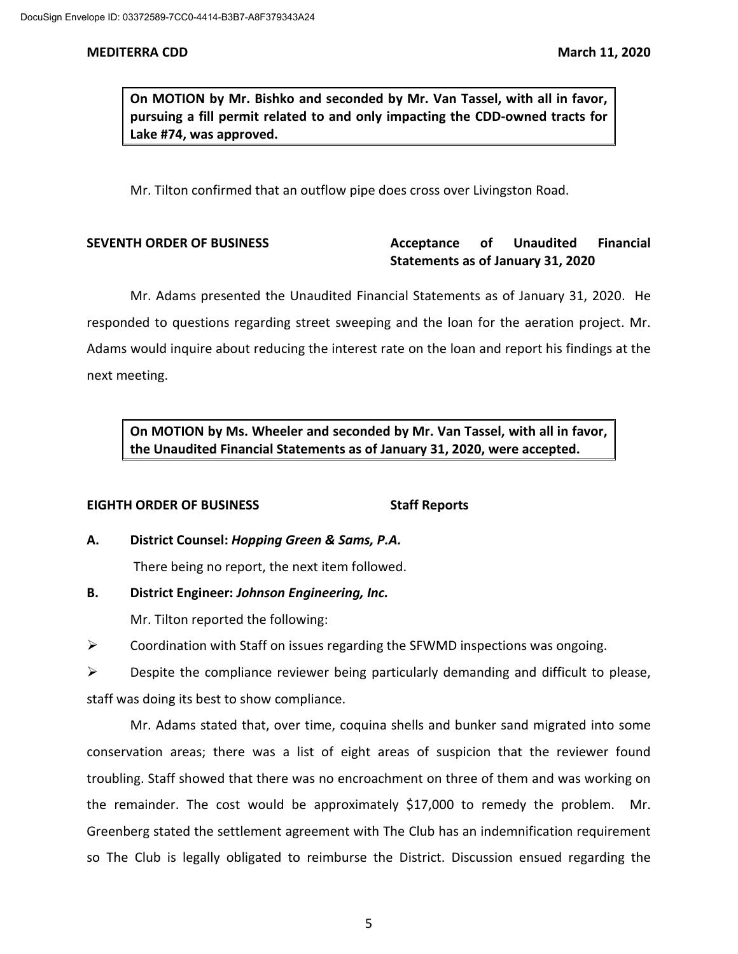**On MOTION by Mr. Bishko and seconded by Mr. Van Tassel, with all in favor, pursuing a fill permit related to and only impacting the CDD-owned tracts for Lake #74, was approved.** 

Mr. Tilton confirmed that an outflow pipe does cross over Livingston Road.

# **Statements as of January 31, 2020 SEVENTH ORDER OF BUSINESS Acceptance of Unaudited Financial**

 Mr. Adams presented the Unaudited Financial Statements as of January 31, 2020. He responded to questions regarding street sweeping and the loan for the aeration project. Mr. Adams would inquire about reducing the interest rate on the loan and report his findings at the next meeting.

 **On MOTION by Ms. Wheeler and seconded by Mr. Van Tassel, with all in favor, the Unaudited Financial Statements as of January 31, 2020, were accepted.** 

## **EIGHTH ORDER OF BUSINESS STAFF REPORTS**

**A. District Counsel:** *Hopping Green & Sams, P.A.* 

There being no report, the next item followed.

**B. District Engineer:** *Johnson Engineering, Inc.* 

Mr. Tilton reported the following:

 $\triangleright$  Coordination with Staff on issues regarding the SFWMD inspections was ongoing.

 $\triangleright$  Despite the compliance reviewer being particularly demanding and difficult to please, staff was doing its best to show compliance.

 Mr. Adams stated that, over time, coquina shells and bunker sand migrated into some conservation areas; there was a list of eight areas of suspicion that the reviewer found troubling. Staff showed that there was no encroachment on three of them and was working on the remainder. The cost would be approximately \$17,000 to remedy the problem. Mr. Greenberg stated the settlement agreement with The Club has an indemnification requirement so The Club is legally obligated to reimburse the District. Discussion ensued regarding the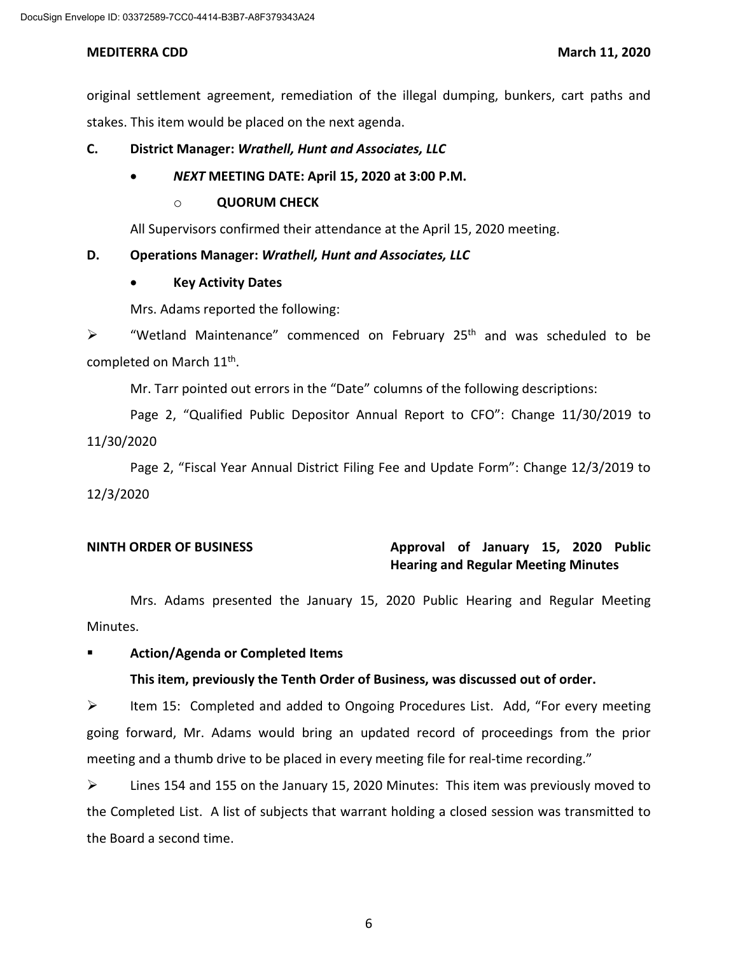original settlement agreement, remediation of the illegal dumping, bunkers, cart paths and stakes. This item would be placed on the next agenda.

## **C. District Manager:** *Wrathell, Hunt and Associates, LLC*

# • *NEXT* **MEETING DATE: April 15, 2020 at 3:00 P.M.**

# o **QUORUM CHECK**

All Supervisors confirmed their attendance at the April 15, 2020 meeting.

### **D. Operations Manager:** *Wrathell, Hunt and Associates, LLC*

### • **Key Activity Dates**

Mrs. Adams reported the following:

 $\triangleright$  "Wetland Maintenance" commenced on February 25<sup>th</sup> and was scheduled to be completed on March 11<sup>th</sup>.

Mr. Tarr pointed out errors in the "Date" columns of the following descriptions:

Page 2, "Qualified Public Depositor Annual Report to CFO": Change 11/30/2019 to 11/30/2020

Page 2, "Fiscal Year Annual District Filing Fee and Update Form": Change 12/3/2019 to 12/3/2020

# **NINTH ORDER OF BUSINESS Approval of January 15, 2020 Public Hearing and Regular Meeting Minutes**

 Mrs. Adams presented the January 15, 2020 Public Hearing and Regular Meeting Minutes.

## **Action/Agenda or Completed Items**

## **This item, previously the Tenth Order of Business, was discussed out of order.**

 $\triangleright$  Item 15: Completed and added to Ongoing Procedures List. Add, "For every meeting going forward, Mr. Adams would bring an updated record of proceedings from the prior meeting and a thumb drive to be placed in every meeting file for real-time recording."

 $\triangleright$  Lines 154 and 155 on the January 15, 2020 Minutes: This item was previously moved to the Completed List. A list of subjects that warrant holding a closed session was transmitted to the Board a second time.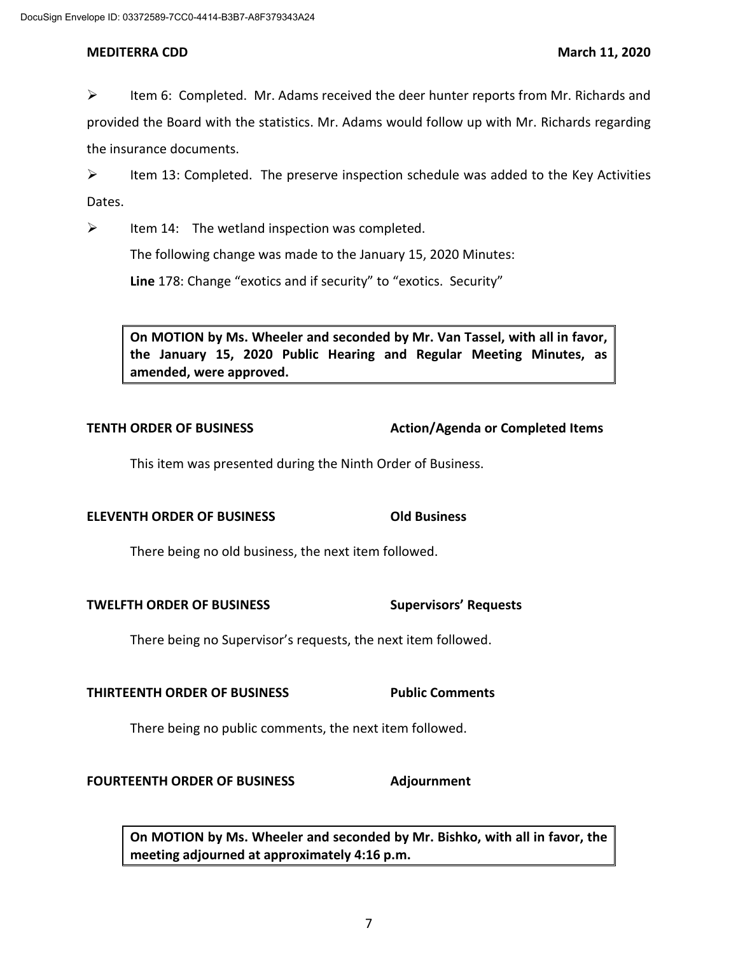$\triangleright$  Item 6: Completed. Mr. Adams received the deer hunter reports from Mr. Richards and provided the Board with the statistics. Mr. Adams would follow up with Mr. Richards regarding the insurance documents.

 $\triangleright$  Item 13: Completed. The preserve inspection schedule was added to the Key Activities Dates.

 $\triangleright$  Item 14: The wetland inspection was completed.

The following change was made to the January 15, 2020 Minutes:

**Line** 178: Change "exotics and if security" to "exotics. Security"

 **On MOTION by Ms. Wheeler and seconded by Mr. Van Tassel, with all in favor,**  amended, were approved. **the January 15, 2020 Public Hearing and Regular Meeting Minutes, as amended, were approved.** amended, were approved.<br>TENTH ORDER OF BUSINESS Action/Agenda or Completed Items

This item was presented during the Ninth Order of Business.

## **ELEVENTH ORDER OF BUSINESS Old Business**

There being no old business, the next item followed.

**TWELFTH ORDER OF BUSINESS** Supervisors' Requests

There being no Supervisor's requests, the next item followed.

## **THIRTEENTH ORDER OF BUSINESS Public Comments**

There being no public comments, the next item followed.

### **FOURTEENTH ORDER OF BUSINESS Adjournment**

 **On MOTION by Ms. Wheeler and seconded by Mr. Bishko, with all in favor, the meeting adjourned at approximately 4:16 p.m.**